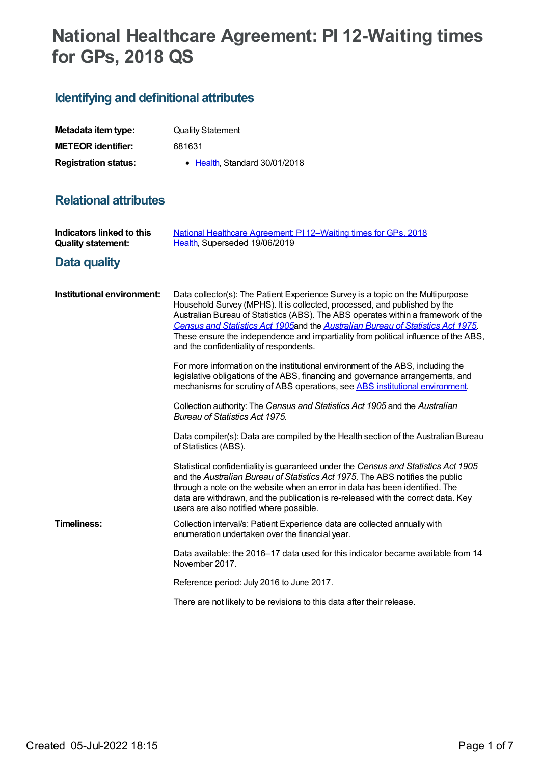# **National Healthcare Agreement: PI 12-Waiting times for GPs, 2018 QS**

## **Identifying and definitional attributes**

| Metadata item type:         | <b>Quality Statement</b>      |
|-----------------------------|-------------------------------|
| <b>METEOR identifier:</b>   | 681631                        |
| <b>Registration status:</b> | • Health, Standard 30/01/2018 |

### **Relational attributes**

| <b>Indicators linked to this</b><br><b>Quality statement:</b> | National Healthcare Agreement: PI 12-Waiting times for GPs, 2018<br>Health, Superseded 19/06/2019                                                                                                                                                                                                                                                                                                                                                                       |
|---------------------------------------------------------------|-------------------------------------------------------------------------------------------------------------------------------------------------------------------------------------------------------------------------------------------------------------------------------------------------------------------------------------------------------------------------------------------------------------------------------------------------------------------------|
| Data quality                                                  |                                                                                                                                                                                                                                                                                                                                                                                                                                                                         |
| Institutional environment:                                    | Data collector(s): The Patient Experience Survey is a topic on the Multipurpose<br>Household Survey (MPHS). It is collected, processed, and published by the<br>Australian Bureau of Statistics (ABS). The ABS operates within a framework of the<br>Census and Statistics Act 1905 and the Australian Bureau of Statistics Act 1975.<br>These ensure the independence and impartiality from political influence of the ABS,<br>and the confidentiality of respondents. |
|                                                               | For more information on the institutional environment of the ABS, including the<br>legislative obligations of the ABS, financing and governance arrangements, and<br>mechanisms for scrutiny of ABS operations, see ABS institutional environment.                                                                                                                                                                                                                      |
|                                                               | Collection authority: The Census and Statistics Act 1905 and the Australian<br><b>Bureau of Statistics Act 1975.</b>                                                                                                                                                                                                                                                                                                                                                    |
|                                                               | Data compiler(s): Data are compiled by the Health section of the Australian Bureau<br>of Statistics (ABS).                                                                                                                                                                                                                                                                                                                                                              |
|                                                               | Statistical confidentiality is guaranteed under the Census and Statistics Act 1905<br>and the Australian Bureau of Statistics Act 1975. The ABS notifies the public<br>through a note on the website when an error in data has been identified. The<br>data are withdrawn, and the publication is re-released with the correct data. Key<br>users are also notified where possible.                                                                                     |
| <b>Timeliness:</b>                                            | Collection interval/s: Patient Experience data are collected annually with<br>enumeration undertaken over the financial year.                                                                                                                                                                                                                                                                                                                                           |
|                                                               | Data available: the 2016–17 data used for this indicator became available from 14<br>November 2017.                                                                                                                                                                                                                                                                                                                                                                     |
|                                                               | Reference period: July 2016 to June 2017.                                                                                                                                                                                                                                                                                                                                                                                                                               |
|                                                               | There are not likely to be revisions to this data after their release.                                                                                                                                                                                                                                                                                                                                                                                                  |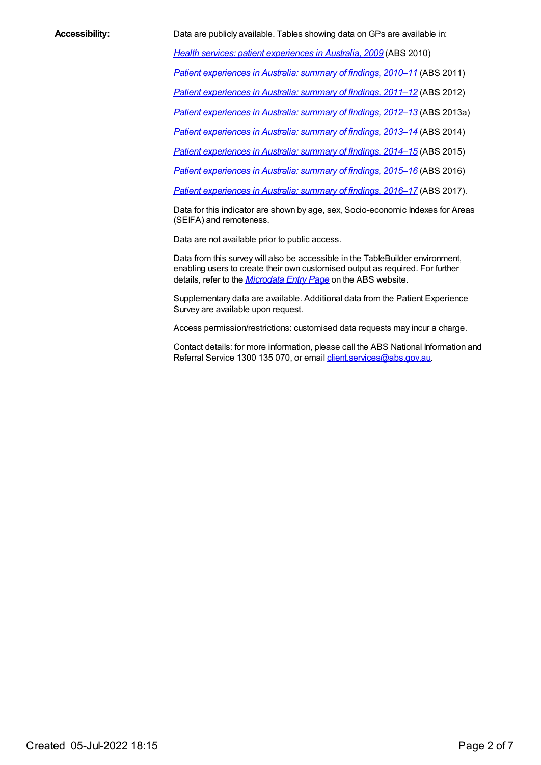**Accessibility:** Data are publicly available. Tables showing data on GPs are available in:

*Health services: patient [experiences](http://www.abs.gov.au/AUSSTATS/abs@.nsf/DetailsPage/4839.0.55.0012009) in Australia, 2009* (ABS 2010)

*Patient [experiences](http://www.abs.gov.au/AUSSTATS/abs@.nsf/allprimarymainfeatures/9606ED9BB0A8D82FCA257ABE0012F144?opendocument) in Australia: summary of findings, 2010–11* (ABS 2011)

*Patient [experiences](http://www.abs.gov.au/AUSSTATS/abs@.nsf/allprimarymainfeatures/EF9A58BF23BD5957CA257C29000FFAA8?opendocument) in Australia: summary of findings, 2011–12* (ABS 2012)

*Patient [experiences](http://www.abs.gov.au/AUSSTATS/abs@.nsf/allprimarymainfeatures/FACB879D128C03A6CA257D9D000C1D57?opendocument) in Australia: summary of findings, 2012–13* (ABS 2013a)

*Patient [experiences](http://www.abs.gov.au/AUSSTATS/abs@.nsf/allprimarymainfeatures/7B1190A3CC5DF0EACA257EFB00114069?opendocument) in Australia: summary of findings, 2013–14* (ABS 2014)

*Patient [experiences](http://www.abs.gov.au/AUSSTATS/abs@.nsf/allprimarymainfeatures/FC8EFE56746DD682CA25806B000F5EE3?opendocument) in Australia: summary of findings, 2014–15* (ABS 2015)

*Patient [experiences](http://www.abs.gov.au/AUSSTATS/abs@.nsf/allprimarymainfeatures/F55FE82671AE2F73CA2581D7007968EF?opendocument) in Australia: summary of findings, 2015–16* (ABS 2016)

*Patient [experiences](http://www.abs.gov.au/ausstats/abs@.nsf/mf/4839.0) in Australia: summary of findings, 2016–17* (ABS 2017).

Data for this indicator are shown by age, sex, Socio-economic Indexes for Areas (SEIFA) and remoteness.

Data are not available prior to public access.

Data from this survey will also be accessible in the TableBuilder environment, enabling users to create their own customised output as required. For further details, refer to the *[Microdata](http://www.abs.gov.au/websitedbs/d3310114.nsf/home/microdata+entry+page) Entry Page* on the ABS website.

Supplementary data are available. Additional data from the Patient Experience Survey are available upon request.

Access permission/restrictions: customised data requests may incur a charge.

Contact details: for more information, please call the ABS National Information and Referral Service 1300 135 070, or email [client.services@abs.gov.au](mailto:client.services@abs.gov.au).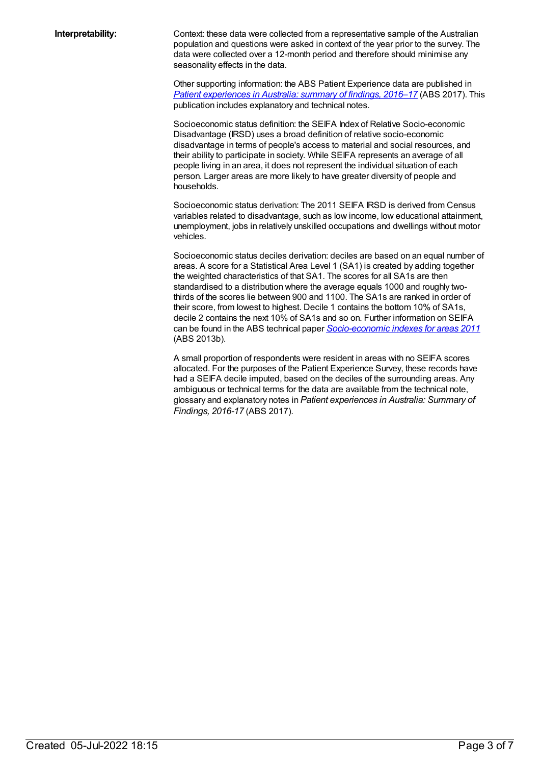**Interpretability:** Context: these data were collected from a representative sample of the Australian population and questions were asked in context of the year prior to the survey. The data were collected over a 12-month period and therefore should minimise any seasonality effects in the data.

> Other supporting information: the ABS Patient Experience data are published in *Patient [experiences](http://www.abs.gov.au/ausstats/abs@.nsf/Lookup/by%20Subject/4839.0~2016-17~Main%20Features~Key%20findings~1) in Australia: summary of findings, 2016–[17](http://www.abs.gov.au/ausstats/abs@.nsf/Lookup/by%20Subject/4839.0~2016-17~Main%20Features~Key%20findings~1)* (ABS 2017). This publication includes explanatory and technical notes.

Socioeconomic status definition: the SEIFA Index of Relative Socio-economic Disadvantage (IRSD) uses a broad definition of relative socio-economic disadvantage in terms of people's access to material and social resources, and their ability to participate in society. While SEIFA represents an average of all people living in an area, it does not represent the individual situation of each person. Larger areas are more likely to have greater diversity of people and households.

Socioeconomic status derivation: The 2011 SEIFA IRSD is derived from Census variables related to disadvantage, such as low income, low educational attainment, unemployment, jobs in relatively unskilled occupations and dwellings without motor vehicles.

Socioeconomic status deciles derivation: deciles are based on an equal number of areas. A score for a Statistical Area Level 1 (SA1) is created by adding together the weighted characteristics of that SA1. The scores for all SA1s are then standardised to a distribution where the average equals 1000 and roughly twothirds of the scores lie between 900 and 1100. The SA1s are ranked in order of their score, from lowest to highest. Decile 1 contains the bottom 10% of SA1s, decile 2 contains the next 10% of SA1s and so on. Further information on SEIFA can be found in the ABS technical paper *[Socio-economic](http://www.abs.gov.au/AUSSTATS/abs@.nsf/Lookup/2033.0.55.001Main+Features12011?OpenDocument) indexes for areas 2011* (ABS 2013b).

A small proportion of respondents were resident in areas with no SEIFA scores allocated. For the purposes of the Patient Experience Survey, these records have had a SEIFA decile imputed, based on the deciles of the surrounding areas. Any ambiguous or technical terms for the data are available from the technical note, glossary and explanatory notes in *Patient experiences in Australia: Summary of Findings, 2016-17* (ABS 2017).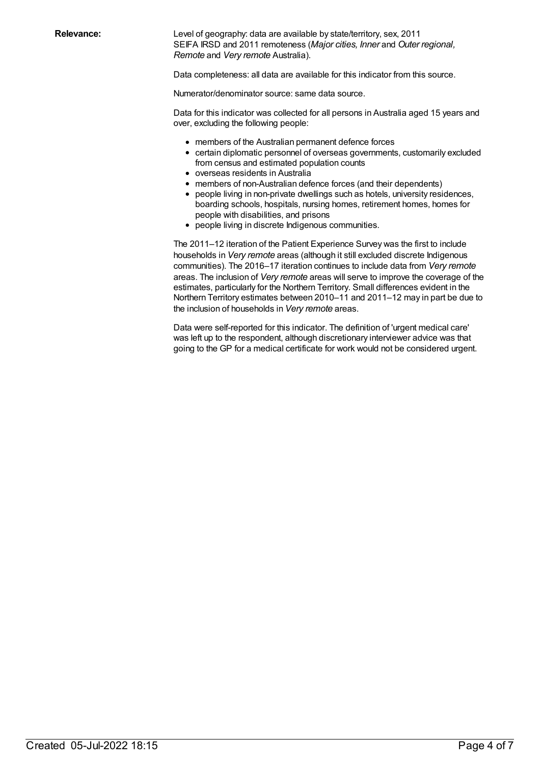**Relevance:** Level of geography: data are available by state/territory, sex, 2011 SEIFA IRSD and 2011 remoteness (*Major cities, Inner* and *Outer regional, Remote* and *Very remote* Australia).

Data completeness: all data are available for this indicator from this source.

Numerator/denominator source: same data source.

Data for this indicator was collected for all persons in Australia aged 15 years and over, excluding the following people:

- members of the Australian permanent defence forces
- certain diplomatic personnel of overseas governments, customarily excluded from census and estimated population counts
- overseas residents in Australia
- members of non-Australian defence forces (and their dependents)
- people living in non-private dwellings such as hotels, university residences, boarding schools, hospitals, nursing homes, retirement homes, homes for people with disabilities, and prisons
- people living in discrete Indigenous communities.

The 2011–12 iteration of the Patient Experience Survey was the first to include households in *Very remote* areas (although it still excluded discrete Indigenous communities). The 2016–17 iteration continues to include data from *Very remote* areas. The inclusion of *Very remote* areas will serve to improve the coverage of the estimates, particularly for the Northern Territory. Small differences evident in the Northern Territory estimates between 2010–11 and 2011–12 may in part be due to the inclusion of households in *Very remote* areas.

Data were self-reported for this indicator. The definition of 'urgent medical care' was left up to the respondent, although discretionary interviewer advice was that going to the GP for a medical certificate for work would not be considered urgent.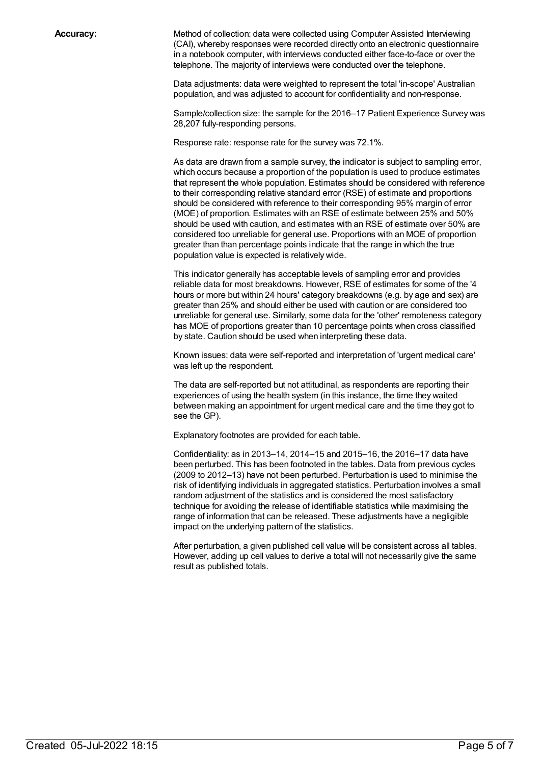**Accuracy:** Method of collection: data were collected using Computer Assisted Interviewing (CAI), whereby responses were recorded directly onto an electronic questionnaire in a notebook computer, with interviews conducted either face-to-face or over the telephone. The majority of interviews were conducted over the telephone.

> Data adjustments: data were weighted to represent the total 'in-scope' Australian population, and was adjusted to account for confidentiality and non-response.

Sample/collection size: the sample for the 2016–17 Patient Experience Survey was 28,207 fully-responding persons.

Response rate: response rate for the survey was 72.1%.

As data are drawn from a sample survey, the indicator is subject to sampling error, which occurs because a proportion of the population is used to produce estimates that represent the whole population. Estimates should be considered with reference to their corresponding relative standard error (RSE) of estimate and proportions should be considered with reference to their corresponding 95% margin of error (MOE) of proportion. Estimates with an RSE of estimate between 25% and 50% should be used with caution, and estimates with an RSE of estimate over 50% are considered too unreliable for general use. Proportions with an MOE of proportion greater than than percentage points indicate that the range in which the true population value is expected is relatively wide.

This indicator generally has acceptable levels of sampling error and provides reliable data for most breakdowns. However, RSE of estimates for some of the '4 hours or more but within 24 hours' category breakdowns (e.g. by age and sex) are greater than 25% and should either be used with caution or are considered too unreliable for general use. Similarly, some data for the 'other' remoteness category has MOE of proportions greater than 10 percentage points when cross classified by state. Caution should be used when interpreting these data.

Known issues: data were self-reported and interpretation of 'urgent medical care' was left up the respondent.

The data are self-reported but not attitudinal, as respondents are reporting their experiences of using the health system (in this instance, the time they waited between making an appointment for urgent medical care and the time they got to see the GP).

Explanatory footnotes are provided for each table.

Confidentiality: as in 2013–14, 2014–15 and 2015–16, the 2016–17 data have been perturbed. This has been footnoted in the tables. Data from previous cycles (2009 to 2012–13) have not been perturbed. Perturbation is used to minimise the risk of identifying individuals in aggregated statistics. Perturbation involves a small random adjustment of the statistics and is considered the most satisfactory technique for avoiding the release of identifiable statistics while maximising the range of information that can be released. These adjustments have a negligible impact on the underlying pattern of the statistics.

After perturbation, a given published cell value will be consistent across all tables. However, adding up cell values to derive a total will not necessarily give the same result as published totals.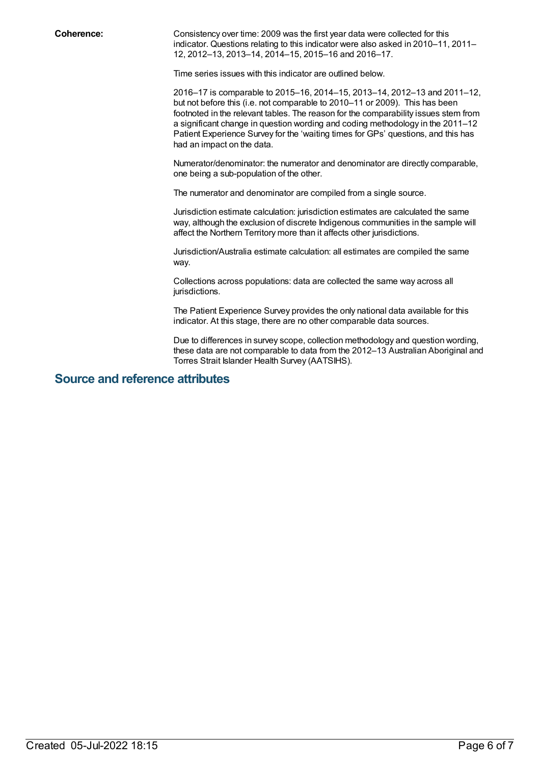**Coherence:** Consistency over time: 2009 was the first year data were collected for this indicator. Questions relating to this indicator were also asked in 2010–11, 2011– 12, 2012–13, 2013–14, 2014–15, 2015–16 and 2016–17.

Time series issues with this indicator are outlined below.

2016–17 is comparable to 2015–16, 2014–15, 2013–14, 2012–13 and 2011–12, but not before this (i.e. not comparable to 2010–11 or 2009). This has been footnoted in the relevant tables. The reason for the comparability issues stem from a significant change in question wording and coding methodology in the 2011–12 Patient Experience Survey for the 'waiting times for GPs' questions, and this has had an impact on the data.

Numerator/denominator: the numerator and denominator are directly comparable, one being a sub-population of the other.

The numerator and denominator are compiled from a single source.

Jurisdiction estimate calculation: jurisdiction estimates are calculated the same way, although the exclusion of discrete Indigenous communities in the sample will affect the Northern Territory more than it affects other jurisdictions.

Jurisdiction/Australia estimate calculation: all estimates are compiled the same way.

Collections across populations: data are collected the same way across all jurisdictions.

The Patient Experience Survey provides the only national data available for this indicator. At this stage, there are no other comparable data sources.

Due to differences in survey scope, collection methodology and question wording, these data are not comparable to data from the 2012–13 Australian Aboriginal and Torres Strait Islander Health Survey (AATSIHS).

#### **Source and reference attributes**